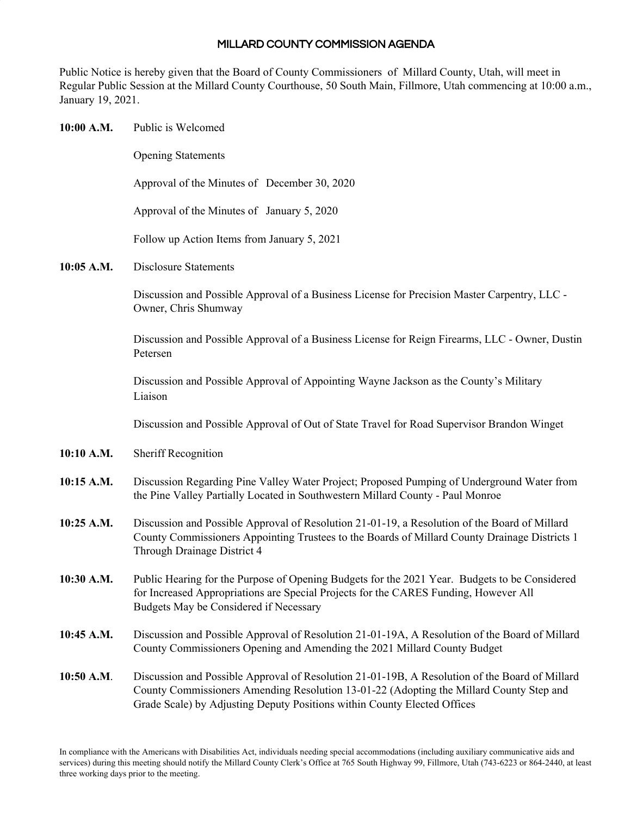## MILLARD COUNTY COMMISSION AGENDA

Public Notice is hereby given that the Board of County Commissioners of Millard County, Utah, will meet in Regular Public Session at the Millard County Courthouse, 50 South Main, Fillmore, Utah commencing at 10:00 a.m., January 19, 2021.

| 10:00 A.M. | Public is Welcomed                                                                                                                                                                                                                                                    |
|------------|-----------------------------------------------------------------------------------------------------------------------------------------------------------------------------------------------------------------------------------------------------------------------|
|            | <b>Opening Statements</b>                                                                                                                                                                                                                                             |
|            | Approval of the Minutes of December 30, 2020                                                                                                                                                                                                                          |
|            | Approval of the Minutes of January 5, 2020                                                                                                                                                                                                                            |
|            | Follow up Action Items from January 5, 2021                                                                                                                                                                                                                           |
| 10:05 A.M. | <b>Disclosure Statements</b>                                                                                                                                                                                                                                          |
|            | Discussion and Possible Approval of a Business License for Precision Master Carpentry, LLC -<br>Owner, Chris Shumway                                                                                                                                                  |
|            | Discussion and Possible Approval of a Business License for Reign Firearms, LLC - Owner, Dustin<br>Petersen                                                                                                                                                            |
|            | Discussion and Possible Approval of Appointing Wayne Jackson as the County's Military<br>Liaison                                                                                                                                                                      |
|            | Discussion and Possible Approval of Out of State Travel for Road Supervisor Brandon Winget                                                                                                                                                                            |
| 10:10 A.M. | <b>Sheriff Recognition</b>                                                                                                                                                                                                                                            |
| 10:15 A.M. | Discussion Regarding Pine Valley Water Project; Proposed Pumping of Underground Water from<br>the Pine Valley Partially Located in Southwestern Millard County - Paul Monroe                                                                                          |
| 10:25 A.M. | Discussion and Possible Approval of Resolution 21-01-19, a Resolution of the Board of Millard<br>County Commissioners Appointing Trustees to the Boards of Millard County Drainage Districts 1<br>Through Drainage District 4                                         |
| 10:30 A.M. | Public Hearing for the Purpose of Opening Budgets for the 2021 Year. Budgets to be Considered<br>for Increased Appropriations are Special Projects for the CARES Funding, However All<br>Budgets May be Considered if Necessary                                       |
| 10:45 A.M. | Discussion and Possible Approval of Resolution 21-01-19A, A Resolution of the Board of Millard<br>County Commissioners Opening and Amending the 2021 Millard County Budget                                                                                            |
| 10:50 A.M. | Discussion and Possible Approval of Resolution 21-01-19B, A Resolution of the Board of Millard<br>County Commissioners Amending Resolution 13-01-22 (Adopting the Millard County Step and<br>Grade Scale) by Adjusting Deputy Positions within County Elected Offices |

In compliance with the Americans with Disabilities Act, individuals needing special accommodations (including auxiliary communicative aids and services) during this meeting should notify the Millard County Clerk's Office at 765 South Highway 99, Fillmore, Utah (743-6223 or 864-2440, at least three working days prior to the meeting.